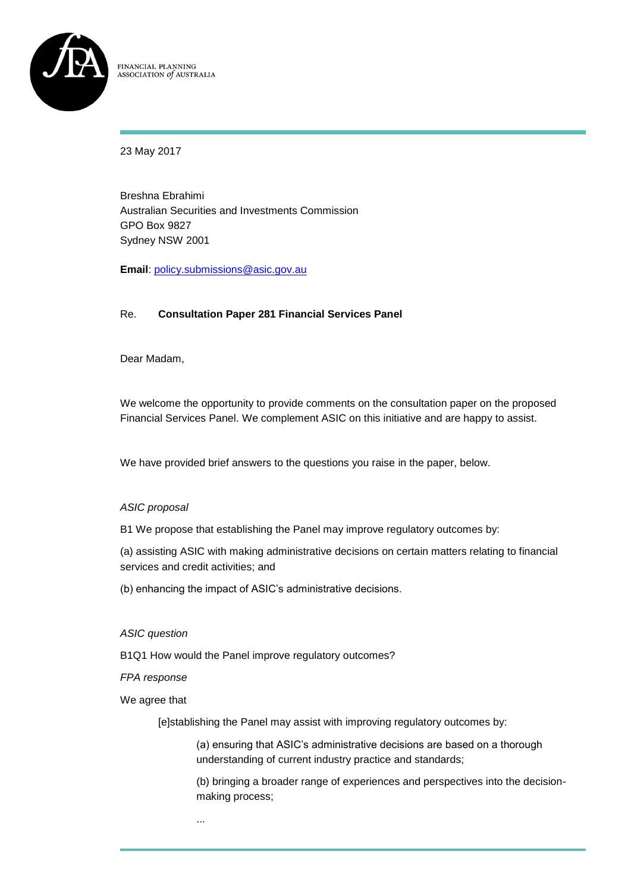

FINANCIAL PLANNING ASSOCIATION of AUSTRALIA

23 May 2017

Breshna Ebrahimi Australian Securities and Investments Commission GPO Box 9827 Sydney NSW 2001

**Email**: [policy.submissions@asic.gov.au](mailto:policy.submissions@asic.gov.au)

# Re. **Consultation Paper 281 Financial Services Panel**

Dear Madam,

We welcome the opportunity to provide comments on the consultation paper on the proposed Financial Services Panel. We complement ASIC on this initiative and are happy to assist.

We have provided brief answers to the questions you raise in the paper, below.

# *ASIC proposal*

B1 We propose that establishing the Panel may improve regulatory outcomes by:

(a) assisting ASIC with making administrative decisions on certain matters relating to financial services and credit activities; and

(b) enhancing the impact of ASIC's administrative decisions.

*ASIC question*

B1Q1 How would the Panel improve regulatory outcomes?

*FPA response*

We agree that

[e]stablishing the Panel may assist with improving regulatory outcomes by:

(a) ensuring that ASIC's administrative decisions are based on a thorough understanding of current industry practice and standards;

(b) bringing a broader range of experiences and perspectives into the decisionmaking process;

...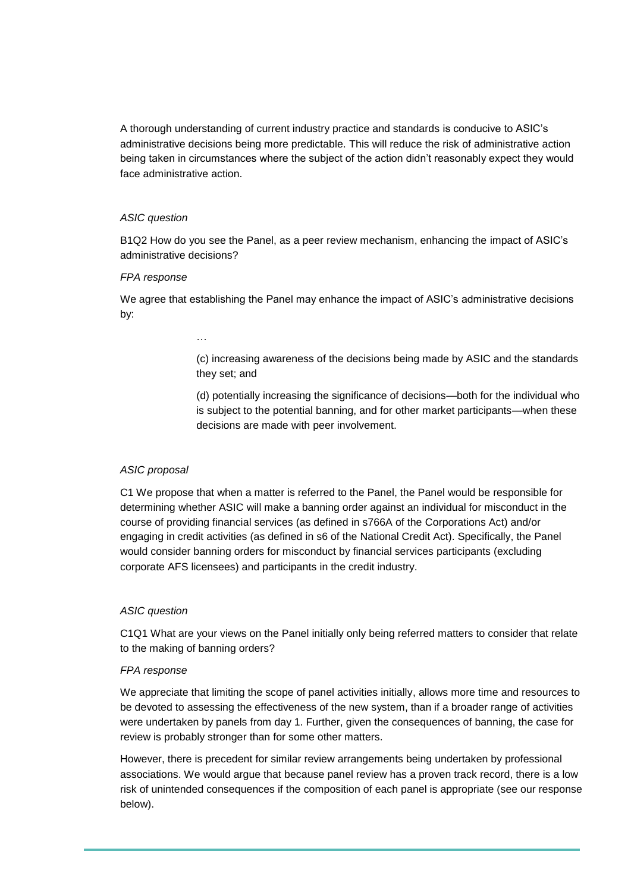A thorough understanding of current industry practice and standards is conducive to ASIC's administrative decisions being more predictable. This will reduce the risk of administrative action being taken in circumstances where the subject of the action didn't reasonably expect they would face administrative action.

### *ASIC question*

B1Q2 How do you see the Panel, as a peer review mechanism, enhancing the impact of ASIC's administrative decisions?

### *FPA response*

We agree that establishing the Panel may enhance the impact of ASIC's administrative decisions by:

…

(c) increasing awareness of the decisions being made by ASIC and the standards they set; and

(d) potentially increasing the significance of decisions—both for the individual who is subject to the potential banning, and for other market participants—when these decisions are made with peer involvement.

# *ASIC proposal*

C1 We propose that when a matter is referred to the Panel, the Panel would be responsible for determining whether ASIC will make a banning order against an individual for misconduct in the course of providing financial services (as defined in s766A of the Corporations Act) and/or engaging in credit activities (as defined in s6 of the National Credit Act). Specifically, the Panel would consider banning orders for misconduct by financial services participants (excluding corporate AFS licensees) and participants in the credit industry.

### *ASIC question*

C1Q1 What are your views on the Panel initially only being referred matters to consider that relate to the making of banning orders?

### *FPA response*

We appreciate that limiting the scope of panel activities initially, allows more time and resources to be devoted to assessing the effectiveness of the new system, than if a broader range of activities were undertaken by panels from day 1. Further, given the consequences of banning, the case for review is probably stronger than for some other matters.

However, there is precedent for similar review arrangements being undertaken by professional associations. We would argue that because panel review has a proven track record, there is a low risk of unintended consequences if the composition of each panel is appropriate (see our response below).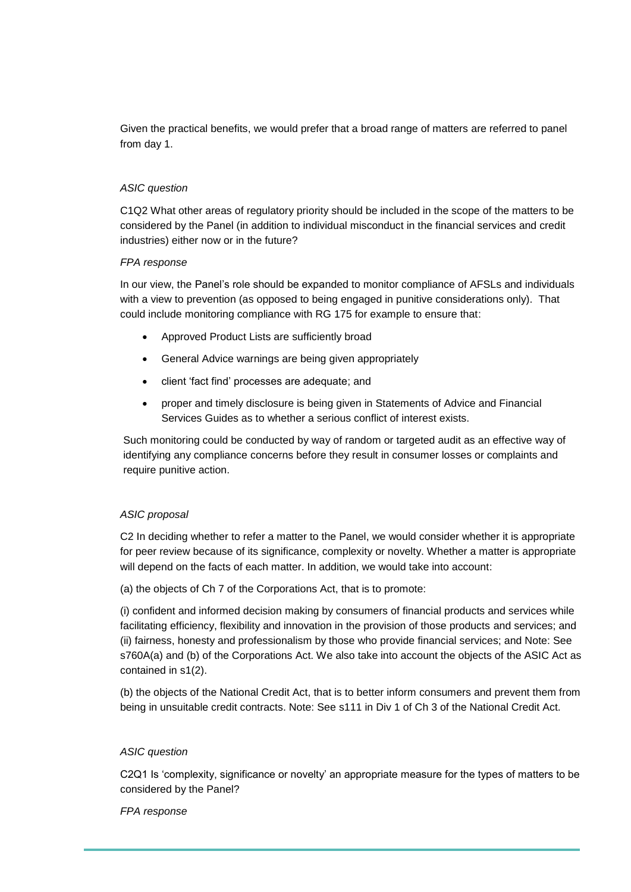Given the practical benefits, we would prefer that a broad range of matters are referred to panel from day 1.

### *ASIC question*

C1Q2 What other areas of regulatory priority should be included in the scope of the matters to be considered by the Panel (in addition to individual misconduct in the financial services and credit industries) either now or in the future?

### *FPA response*

In our view, the Panel's role should be expanded to monitor compliance of AFSLs and individuals with a view to prevention (as opposed to being engaged in punitive considerations only). That could include monitoring compliance with RG 175 for example to ensure that:

- Approved Product Lists are sufficiently broad
- General Advice warnings are being given appropriately
- client 'fact find' processes are adequate; and
- proper and timely disclosure is being given in Statements of Advice and Financial Services Guides as to whether a serious conflict of interest exists.

Such monitoring could be conducted by way of random or targeted audit as an effective way of identifying any compliance concerns before they result in consumer losses or complaints and require punitive action.

# *ASIC proposal*

C2 In deciding whether to refer a matter to the Panel, we would consider whether it is appropriate for peer review because of its significance, complexity or novelty. Whether a matter is appropriate will depend on the facts of each matter. In addition, we would take into account:

(a) the objects of Ch 7 of the Corporations Act, that is to promote:

(i) confident and informed decision making by consumers of financial products and services while facilitating efficiency, flexibility and innovation in the provision of those products and services; and (ii) fairness, honesty and professionalism by those who provide financial services; and Note: See s760A(a) and (b) of the Corporations Act. We also take into account the objects of the ASIC Act as contained in s1(2).

(b) the objects of the National Credit Act, that is to better inform consumers and prevent them from being in unsuitable credit contracts. Note: See s111 in Div 1 of Ch 3 of the National Credit Act.

### *ASIC question*

C2Q1 Is 'complexity, significance or novelty' an appropriate measure for the types of matters to be considered by the Panel?

### *FPA response*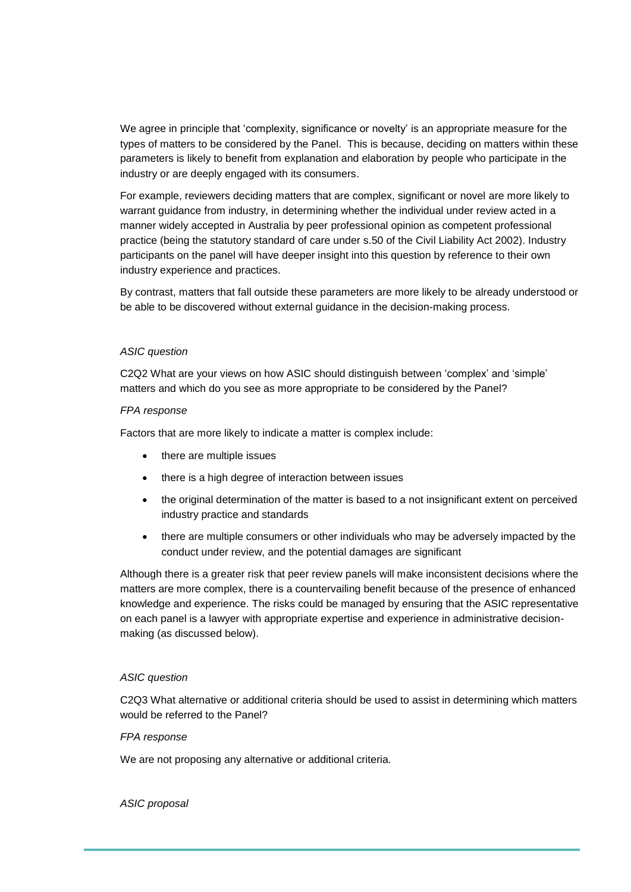We agree in principle that 'complexity, significance or novelty' is an appropriate measure for the types of matters to be considered by the Panel. This is because, deciding on matters within these parameters is likely to benefit from explanation and elaboration by people who participate in the industry or are deeply engaged with its consumers.

For example, reviewers deciding matters that are complex, significant or novel are more likely to warrant guidance from industry, in determining whether the individual under review acted in a manner widely accepted in Australia by peer professional opinion as competent professional practice (being the statutory standard of care under s.50 of the Civil Liability Act 2002). Industry participants on the panel will have deeper insight into this question by reference to their own industry experience and practices.

By contrast, matters that fall outside these parameters are more likely to be already understood or be able to be discovered without external guidance in the decision-making process.

### *ASIC question*

C2Q2 What are your views on how ASIC should distinguish between 'complex' and 'simple' matters and which do you see as more appropriate to be considered by the Panel?

### *FPA response*

Factors that are more likely to indicate a matter is complex include:

- there are multiple issues
- there is a high degree of interaction between issues
- the original determination of the matter is based to a not insignificant extent on perceived industry practice and standards
- there are multiple consumers or other individuals who may be adversely impacted by the conduct under review, and the potential damages are significant

Although there is a greater risk that peer review panels will make inconsistent decisions where the matters are more complex, there is a countervailing benefit because of the presence of enhanced knowledge and experience. The risks could be managed by ensuring that the ASIC representative on each panel is a lawyer with appropriate expertise and experience in administrative decisionmaking (as discussed below).

### *ASIC question*

C2Q3 What alternative or additional criteria should be used to assist in determining which matters would be referred to the Panel?

### *FPA response*

We are not proposing any alternative or additional criteria.

#### *ASIC proposal*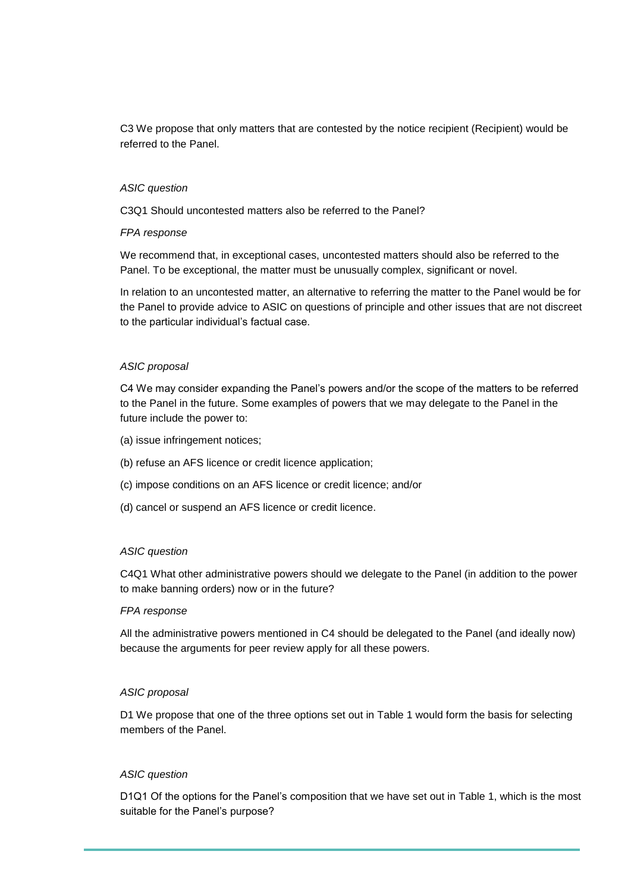C3 We propose that only matters that are contested by the notice recipient (Recipient) would be referred to the Panel.

### *ASIC question*

C3Q1 Should uncontested matters also be referred to the Panel?

### *FPA response*

We recommend that, in exceptional cases, uncontested matters should also be referred to the Panel. To be exceptional, the matter must be unusually complex, significant or novel.

In relation to an uncontested matter, an alternative to referring the matter to the Panel would be for the Panel to provide advice to ASIC on questions of principle and other issues that are not discreet to the particular individual's factual case.

### *ASIC proposal*

C4 We may consider expanding the Panel's powers and/or the scope of the matters to be referred to the Panel in the future. Some examples of powers that we may delegate to the Panel in the future include the power to:

- (a) issue infringement notices;
- (b) refuse an AFS licence or credit licence application;
- (c) impose conditions on an AFS licence or credit licence; and/or
- (d) cancel or suspend an AFS licence or credit licence.

### *ASIC question*

C4Q1 What other administrative powers should we delegate to the Panel (in addition to the power to make banning orders) now or in the future?

#### *FPA response*

All the administrative powers mentioned in C4 should be delegated to the Panel (and ideally now) because the arguments for peer review apply for all these powers.

### *ASIC proposal*

D1 We propose that one of the three options set out in Table 1 would form the basis for selecting members of the Panel.

#### *ASIC question*

D1Q1 Of the options for the Panel's composition that we have set out in Table 1, which is the most suitable for the Panel's purpose?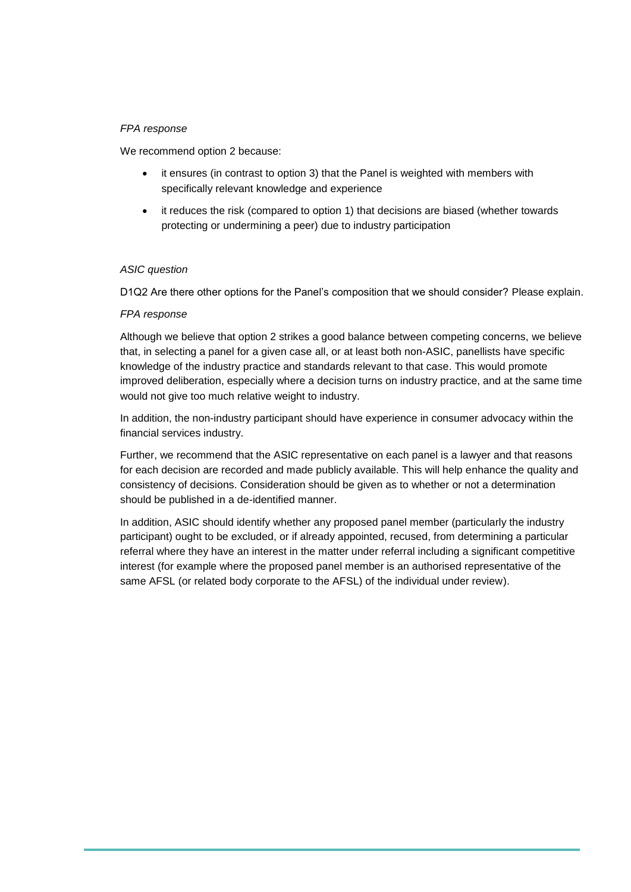### *FPA response*

We recommend option 2 because:

- it ensures (in contrast to option 3) that the Panel is weighted with members with specifically relevant knowledge and experience
- it reduces the risk (compared to option 1) that decisions are biased (whether towards protecting or undermining a peer) due to industry participation

### *ASIC question*

D1Q2 Are there other options for the Panel's composition that we should consider? Please explain.

### *FPA response*

Although we believe that option 2 strikes a good balance between competing concerns, we believe that, in selecting a panel for a given case all, or at least both non-ASIC, panellists have specific knowledge of the industry practice and standards relevant to that case. This would promote improved deliberation, especially where a decision turns on industry practice, and at the same time would not give too much relative weight to industry.

In addition, the non-industry participant should have experience in consumer advocacy within the financial services industry.

Further, we recommend that the ASIC representative on each panel is a lawyer and that reasons for each decision are recorded and made publicly available. This will help enhance the quality and consistency of decisions. Consideration should be given as to whether or not a determination should be published in a de-identified manner.

In addition, ASIC should identify whether any proposed panel member (particularly the industry participant) ought to be excluded, or if already appointed, recused, from determining a particular referral where they have an interest in the matter under referral including a significant competitive interest (for example where the proposed panel member is an authorised representative of the same AFSL (or related body corporate to the AFSL) of the individual under review).